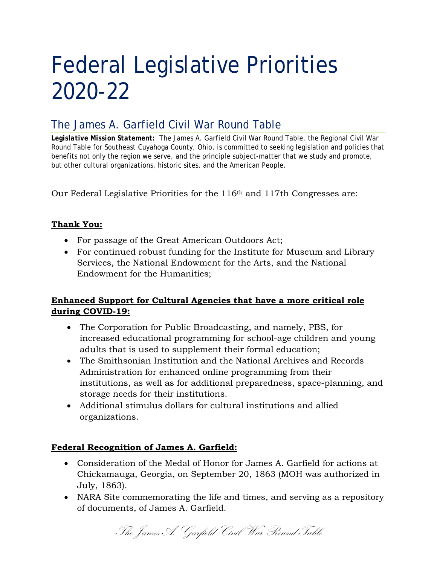# Federal Legislative Priorities 2020-22

# The James A. Garfield Civil War Round Table

*Legislative Mission Statement:* The James A. Garfield Civil War Round Table, the Regional Civil War Round Table for Southeast Cuyahoga County, Ohio, is committed to seeking legislation and policies that benefits not only the region we serve, and the principle subject-matter that we study and promote, but other cultural organizations, historic sites, and the American People.

Our Federal Legislative Priorities for the 116th and 117th Congresses are:

# **Thank You:**

- For passage of the Great American Outdoors Act;
- For continued robust funding for the Institute for Museum and Library Services, the National Endowment for the Arts, and the National Endowment for the Humanities;

# **Enhanced Support for Cultural Agencies that have a more critical role during COVID-19:**

- The Corporation for Public Broadcasting, and namely, PBS, for increased educational programming for school-age children and young adults that is used to supplement their formal education;
- The Smithsonian Institution and the National Archives and Records Administration for enhanced online programming from their institutions, as well as for additional preparedness, space-planning, and storage needs for their institutions.
- Additional stimulus dollars for cultural institutions and allied organizations.

# **Federal Recognition of James A. Garfield:**

- Consideration of the Medal of Honor for James A. Garfield for actions at Chickamauga, Georgia, on September 20, 1863 (MOH was authorized in July, 1863).
- NARA Site commemorating the life and times, and serving as a repository of documents, of James A. Garfield.

The James A. Garfield Civil War Round Table